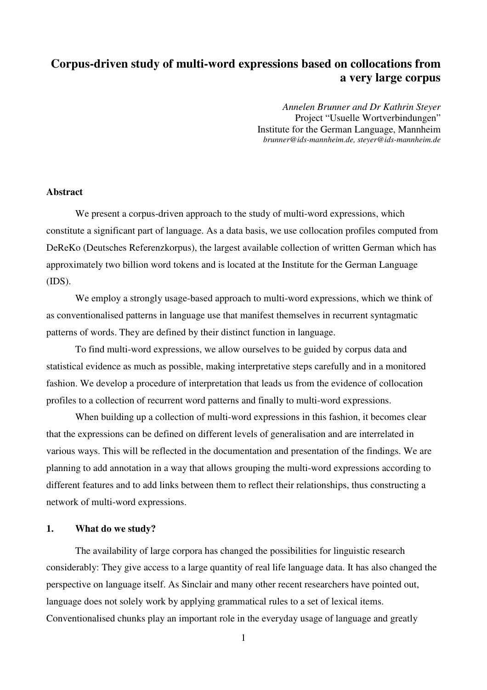# **Corpus-driven study of multi-word expressions based on collocations from a very large corpus**

*Annelen Brunner and Dr Kathrin Steyer*  Project "Usuelle Wortverbindungen" Institute for the German Language, Mannheim *brunner@ids-mannheim.de, steyer@ids-mannheim.de* 

### **Abstract**

We present a corpus-driven approach to the study of multi-word expressions, which constitute a significant part of language. As a data basis, we use collocation profiles computed from DeReKo (Deutsches Referenzkorpus), the largest available collection of written German which has approximately two billion word tokens and is located at the Institute for the German Language (IDS).

We employ a strongly usage-based approach to multi-word expressions, which we think of as conventionalised patterns in language use that manifest themselves in recurrent syntagmatic patterns of words. They are defined by their distinct function in language.

To find multi-word expressions, we allow ourselves to be guided by corpus data and statistical evidence as much as possible, making interpretative steps carefully and in a monitored fashion. We develop a procedure of interpretation that leads us from the evidence of collocation profiles to a collection of recurrent word patterns and finally to multi-word expressions.

When building up a collection of multi-word expressions in this fashion, it becomes clear that the expressions can be defined on different levels of generalisation and are interrelated in various ways. This will be reflected in the documentation and presentation of the findings. We are planning to add annotation in a way that allows grouping the multi-word expressions according to different features and to add links between them to reflect their relationships, thus constructing a network of multi-word expressions.

## **1. What do we study?**

The availability of large corpora has changed the possibilities for linguistic research considerably: They give access to a large quantity of real life language data. It has also changed the perspective on language itself. As Sinclair and many other recent researchers have pointed out, language does not solely work by applying grammatical rules to a set of lexical items. Conventionalised chunks play an important role in the everyday usage of language and greatly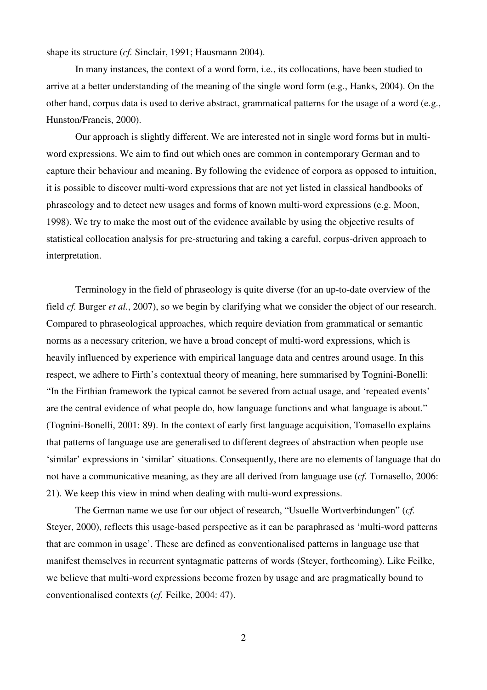shape its structure (*cf.* Sinclair, 1991; Hausmann 2004).

In many instances, the context of a word form, i.e., its collocations, have been studied to arrive at a better understanding of the meaning of the single word form (e.g., Hanks, 2004). On the other hand, corpus data is used to derive abstract, grammatical patterns for the usage of a word (e.g., Hunston/Francis, 2000).

Our approach is slightly different. We are interested not in single word forms but in multiword expressions. We aim to find out which ones are common in contemporary German and to capture their behaviour and meaning. By following the evidence of corpora as opposed to intuition, it is possible to discover multi-word expressions that are not yet listed in classical handbooks of phraseology and to detect new usages and forms of known multi-word expressions (e.g. Moon, 1998). We try to make the most out of the evidence available by using the objective results of statistical collocation analysis for pre-structuring and taking a careful, corpus-driven approach to interpretation.

Terminology in the field of phraseology is quite diverse (for an up-to-date overview of the field *cf.* Burger *et al.*, 2007), so we begin by clarifying what we consider the object of our research. Compared to phraseological approaches, which require deviation from grammatical or semantic norms as a necessary criterion, we have a broad concept of multi-word expressions, which is heavily influenced by experience with empirical language data and centres around usage. In this respect, we adhere to Firth's contextual theory of meaning, here summarised by Tognini-Bonelli: "In the Firthian framework the typical cannot be severed from actual usage, and 'repeated events' are the central evidence of what people do, how language functions and what language is about." (Tognini-Bonelli, 2001: 89). In the context of early first language acquisition, Tomasello explains that patterns of language use are generalised to different degrees of abstraction when people use 'similar' expressions in 'similar' situations. Consequently, there are no elements of language that do not have a communicative meaning, as they are all derived from language use (*cf.* Tomasello, 2006: 21). We keep this view in mind when dealing with multi-word expressions.

The German name we use for our object of research, "Usuelle Wortverbindungen" (*cf.*  Steyer, 2000), reflects this usage-based perspective as it can be paraphrased as 'multi-word patterns that are common in usage'. These are defined as conventionalised patterns in language use that manifest themselves in recurrent syntagmatic patterns of words (Steyer, forthcoming). Like Feilke, we believe that multi-word expressions become frozen by usage and are pragmatically bound to conventionalised contexts (*cf.* Feilke, 2004: 47).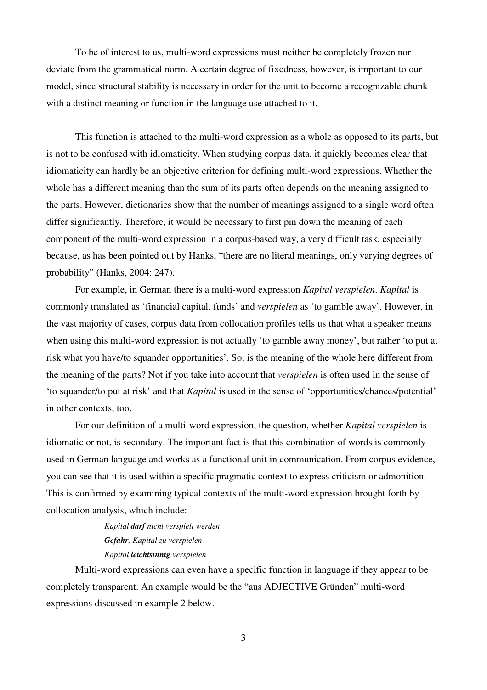To be of interest to us, multi-word expressions must neither be completely frozen nor deviate from the grammatical norm. A certain degree of fixedness, however, is important to our model, since structural stability is necessary in order for the unit to become a recognizable chunk with a distinct meaning or function in the language use attached to it.

This function is attached to the multi-word expression as a whole as opposed to its parts, but is not to be confused with idiomaticity. When studying corpus data, it quickly becomes clear that idiomaticity can hardly be an objective criterion for defining multi-word expressions. Whether the whole has a different meaning than the sum of its parts often depends on the meaning assigned to the parts. However, dictionaries show that the number of meanings assigned to a single word often differ significantly. Therefore, it would be necessary to first pin down the meaning of each component of the multi-word expression in a corpus-based way, a very difficult task, especially because, as has been pointed out by Hanks, "there are no literal meanings, only varying degrees of probability" (Hanks, 2004: 247).

For example, in German there is a multi-word expression *Kapital verspielen*. *Kapital* is commonly translated as 'financial capital, funds' and *verspielen* as 'to gamble away'. However, in the vast majority of cases, corpus data from collocation profiles tells us that what a speaker means when using this multi-word expression is not actually 'to gamble away money', but rather 'to put at risk what you have/to squander opportunities'. So, is the meaning of the whole here different from the meaning of the parts? Not if you take into account that *verspielen* is often used in the sense of 'to squander/to put at risk' and that *Kapital* is used in the sense of 'opportunities/chances/potential' in other contexts, too.

For our definition of a multi-word expression, the question, whether *Kapital verspielen* is idiomatic or not, is secondary. The important fact is that this combination of words is commonly used in German language and works as a functional unit in communication. From corpus evidence, you can see that it is used within a specific pragmatic context to express criticism or admonition. This is confirmed by examining typical contexts of the multi-word expression brought forth by collocation analysis, which include:

> *Kapital darf nicht verspielt werden Gefahr, Kapital zu verspielen Kapital leichtsinnig verspielen*

Multi-word expressions can even have a specific function in language if they appear to be completely transparent. An example would be the "aus ADJECTIVE Gründen" multi-word expressions discussed in example 2 below.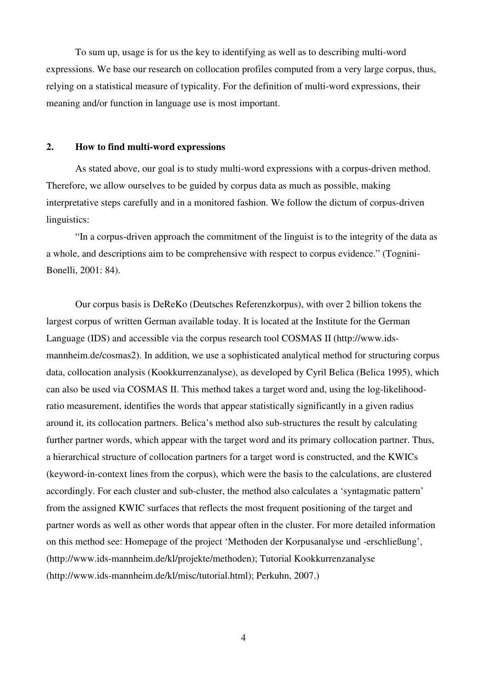To sum up, usage is for us the key to identifying as well as to describing multi-word expressions. We base our research on collocation profiles computed from a very large corpus, thus, relying on a statistical measure of typicality. For the definition of multi-word expressions, their meaning and/or function in language use is most important.

### **2. How to find multi-word expressions**

As stated above, our goal is to study multi-word expressions with a corpus-driven method. Therefore, we allow ourselves to be guided by corpus data as much as possible, making interpretative steps carefully and in a monitored fashion. We follow the dictum of corpus-driven linguistics:

"In a corpus-driven approach the commitment of the linguist is to the integrity of the data as a whole, and descriptions aim to be comprehensive with respect to corpus evidence." (Tognini-Bonelli, 2001: 84).

Our corpus basis is DeReKo (Deutsches Referenzkorpus), with over 2 billion tokens the largest corpus of written German available today. It is located at the Institute for the German Language (IDS) and accessible via the corpus research tool COSMAS II (http://www.idsmannheim.de/cosmas2). In addition, we use a sophisticated analytical method for structuring corpus data, collocation analysis (Kookkurrenzanalyse), as developed by Cyril Belica (Belica 1995), which can also be used via COSMAS II. This method takes a target word and, using the log-likelihoodratio measurement, identifies the words that appear statistically significantly in a given radius around it, its collocation partners. Belica's method also sub-structures the result by calculating further partner words, which appear with the target word and its primary collocation partner. Thus, a hierarchical structure of collocation partners for a target word is constructed, and the KWICs (keyword-in-context lines from the corpus), which were the basis to the calculations, are clustered accordingly. For each cluster and sub-cluster, the method also calculates a 'syntagmatic pattern' from the assigned KWIC surfaces that reflects the most frequent positioning of the target and partner words as well as other words that appear often in the cluster. For more detailed information on this method see: Homepage of the project 'Methoden der Korpusanalyse und -erschließung', (http://www.ids-mannheim.de/kl/projekte/methoden); Tutorial Kookkurrenzanalyse (http://www.ids-mannheim.de/kl/misc/tutorial.html); Perkuhn, 2007.)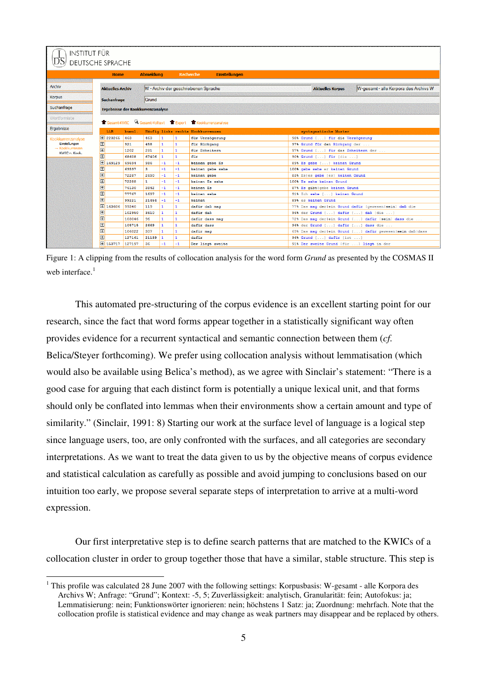| INSTITUT FÜR<br>DEUTSCHE SPRACHE |                         |        |                                   |              |              |                                                          |                                                                  |  |
|----------------------------------|-------------------------|--------|-----------------------------------|--------------|--------------|----------------------------------------------------------|------------------------------------------------------------------|--|
|                                  |                         |        |                                   |              |              |                                                          |                                                                  |  |
|                                  | <b>Home</b>             |        | <b>Abmeldung</b>                  |              |              | <b>Einstellungen</b><br><b>Recherche</b>                 |                                                                  |  |
| Archiv                           | <b>Aktuelles Archiv</b> |        |                                   |              |              | W - Archiv der geschriebenen Sprache                     | W-gesamt - alle Korpora des Archivs W<br><b>Aktuelles Korpus</b> |  |
| <b>Korpus</b>                    | <b>Suchanfrage</b>      |        | Grund                             |              |              |                                                          |                                                                  |  |
| Suchanfrage                      |                         |        | Ergebnisse der Kookkurrenzanalyse |              |              |                                                          |                                                                  |  |
| Wortformliste                    |                         |        |                                   |              |              | Gesamt-KWIC Gesamt-Volltext TExport TEXookkurrenzanalyse |                                                                  |  |
| Ergebnisse                       | <b>LLR</b>              | kumul. |                                   |              |              | Häufig links rechts Kookkurrenzen                        | syntagmatische Muster                                            |  |
| Kookkurrenzanalyse               | <b>田 223265</b>         | 463    | 463                               | 11           |              | für Verzögerung                                          | 98% Grund [] für die Verzögerung                                 |  |
| Einstellungen                    | $\boxplus$              | 921    | 458                               | 1            | $\mathbf{1}$ | für Rückgang                                             | 97% Grund für den Rückgang der                                   |  |
| - Kookkurrenzen                  | $\blacksquare$          | 1202   | 281                               | $\mathbf{1}$ | $\mathbf{1}$ | für Scheitern                                            | 97% Grund [] für das Scheitern der                               |  |
| KWIC <sub>n</sub> , Kook.        | $\boxplus$              | 68608  | 67406                             | 11           | $\mathbf{1}$ | für                                                      | 90% Grund [] für [die ]                                          |  |
|                                  | <b>F</b><br>169129      | 69594  | 986                               | $-1$         | $-1$         | keinen gebe Es                                           | 89% Es gebe [] keinen Grund                                      |  |
|                                  | 田                       | 69597  | 3                                 | $-1$         | $-1$         | keinen gebe sehe                                         | 100% gebe sehe er keinen Grund                                   |  |
|                                  | E                       | 72287  | 2690                              | $-1$         | $-1$         | keinen gebe                                              | 83% Esles gebe [es] keinen Grund                                 |  |
|                                  | 田                       | 72288  | $\mathbf{1}$                      | $-1$         | $-1$         | keinen Es sehe                                           | 100% Es sehe keinen Grund                                        |  |
|                                  | 画                       | 76130  | 3842                              | $-1$         | $-1$         | keinen Es                                                | 87% Es gibt   gebe keinen Grund                                  |  |
|                                  | 田                       | 77767  | 1637                              | $-1$         | $-1$         | keinen sehe                                              | 91% Ich sehe [] keinen Grund                                     |  |
|                                  | 田                       | 99221  | 21454                             | $-1$         | $-1$         | keinen                                                   | 89% es keinen Grund                                              |  |
|                                  | <b>田 163606</b>         | 99340  | 119                               | $\mathbf{1}$ | 1            | dafür daß mag                                            | 77% Das mag der ein Grund dafür [gewesen sein] daß die           |  |
|                                  | 回                       | 102950 | 3610                              | 11           | $\mathbf{1}$ | dafür daß                                                | 96% der Grund [] dafür [] daß [die ]                             |  |
|                                  | E                       | 103046 | 96                                | $\mathbf{1}$ | $\mathbf{1}$ | dafür dass mag                                           | 72% Das mag der ein Grund [] dafür [sein] dass die               |  |
|                                  | 田                       | 105715 | 2669                              | $\mathbf{1}$ | 1.           | dafür dass                                               | 96% der Grund [] dafür [] dass die                               |  |
|                                  | 田                       | 106022 | 307                               | $\mathbf{1}$ | $\mathbf{1}$ | dafür mag                                                | 69% Das mag der   ein Grund [] dafür gewesen   sein daß   dass   |  |
|                                  | 回                       | 127161 | 21139                             | 11           | 1            | dafür                                                    | 96% Grund [] dafür [ist ]                                        |  |
|                                  | <b>H</b> 153717         | 127197 | 36                                | $-1$         | $-1$         | Der liegt zweite                                         | 91% Der zweite Grund [für ] liegt in der                         |  |

Figure 1: A clipping from the results of collocation analysis for the word form *Grund* as presented by the COSMAS II web interface. $<sup>1</sup>$ </sup>

This automated pre-structuring of the corpus evidence is an excellent starting point for our research, since the fact that word forms appear together in a statistically significant way often provides evidence for a recurrent syntactical and semantic connection between them (*cf.* Belica/Steyer forthcoming). We prefer using collocation analysis without lemmatisation (which would also be available using Belica's method), as we agree with Sinclair's statement: "There is a good case for arguing that each distinct form is potentially a unique lexical unit, and that forms should only be conflated into lemmas when their environments show a certain amount and type of similarity." (Sinclair, 1991: 8) Starting our work at the surface level of language is a logical step since language users, too, are only confronted with the surfaces, and all categories are secondary interpretations. As we want to treat the data given to us by the objective means of corpus evidence and statistical calculation as carefully as possible and avoid jumping to conclusions based on our intuition too early, we propose several separate steps of interpretation to arrive at a multi-word expression.

Our first interpretative step is to define search patterns that are matched to the KWICs of a collocation cluster in order to group together those that have a similar, stable structure. This step is

 $\overline{a}$ 

<sup>&</sup>lt;sup>1</sup> This profile was calculated 28 June 2007 with the following settings: Korpusbasis: W-gesamt - alle Korpora des Archivs W; Anfrage: "Grund"; Kontext: -5, 5; Zuverlässigkeit: analytisch, Granularität: fein; Autofokus: ja; Lemmatisierung: nein; Funktionswörter ignorieren: nein; höchstens 1 Satz: ja; Zuordnung: mehrfach. Note that the collocation profile is statistical evidence and may change as weak partners may disappear and be replaced by others.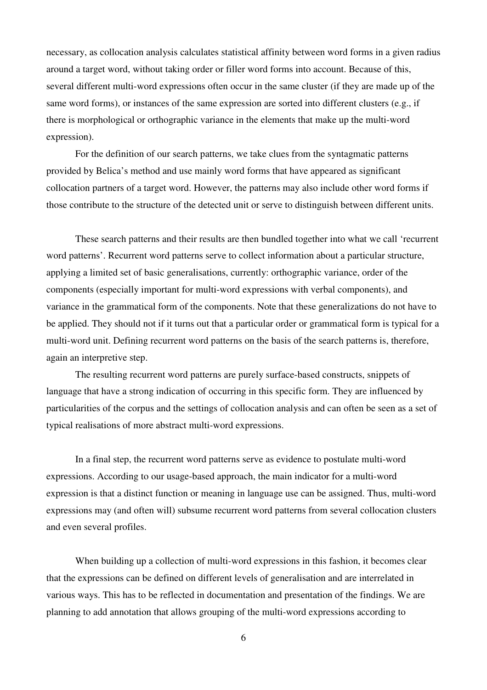necessary, as collocation analysis calculates statistical affinity between word forms in a given radius around a target word, without taking order or filler word forms into account. Because of this, several different multi-word expressions often occur in the same cluster (if they are made up of the same word forms), or instances of the same expression are sorted into different clusters (e.g., if there is morphological or orthographic variance in the elements that make up the multi-word expression).

For the definition of our search patterns, we take clues from the syntagmatic patterns provided by Belica's method and use mainly word forms that have appeared as significant collocation partners of a target word. However, the patterns may also include other word forms if those contribute to the structure of the detected unit or serve to distinguish between different units.

These search patterns and their results are then bundled together into what we call 'recurrent word patterns'. Recurrent word patterns serve to collect information about a particular structure, applying a limited set of basic generalisations, currently: orthographic variance, order of the components (especially important for multi-word expressions with verbal components), and variance in the grammatical form of the components. Note that these generalizations do not have to be applied. They should not if it turns out that a particular order or grammatical form is typical for a multi-word unit. Defining recurrent word patterns on the basis of the search patterns is, therefore, again an interpretive step.

The resulting recurrent word patterns are purely surface-based constructs, snippets of language that have a strong indication of occurring in this specific form. They are influenced by particularities of the corpus and the settings of collocation analysis and can often be seen as a set of typical realisations of more abstract multi-word expressions.

In a final step, the recurrent word patterns serve as evidence to postulate multi-word expressions. According to our usage-based approach, the main indicator for a multi-word expression is that a distinct function or meaning in language use can be assigned. Thus, multi-word expressions may (and often will) subsume recurrent word patterns from several collocation clusters and even several profiles.

When building up a collection of multi-word expressions in this fashion, it becomes clear that the expressions can be defined on different levels of generalisation and are interrelated in various ways. This has to be reflected in documentation and presentation of the findings. We are planning to add annotation that allows grouping of the multi-word expressions according to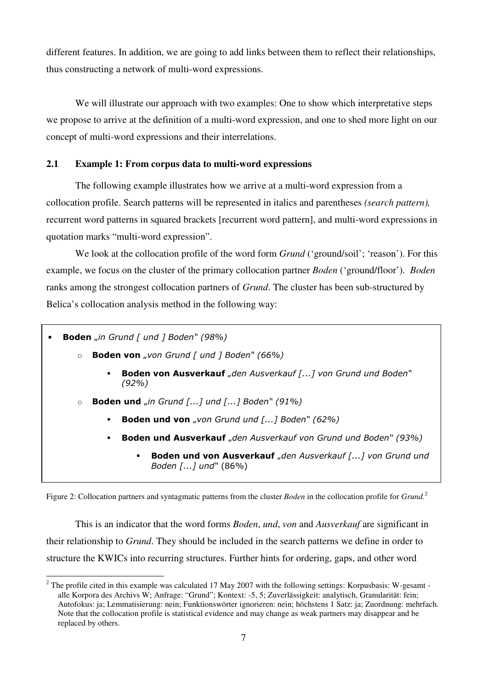different features. In addition, we are going to add links between them to reflect their relationships, thus constructing a network of multi-word expressions.

We will illustrate our approach with two examples: One to show which interpretative steps we propose to arrive at the definition of a multi-word expression, and one to shed more light on our concept of multi-word expressions and their interrelations.

# **2.1 Example 1: From corpus data to multi-word expressions**

The following example illustrates how we arrive at a multi-word expression from a collocation profile. Search patterns will be represented in italics and parentheses *(search pattern),*  recurrent word patterns in squared brackets [recurrent word pattern], and multi-word expressions in quotation marks "multi-word expression".

We look at the collocation profile of the word form *Grund* ('ground/soil'; 'reason'). For this example, we focus on the cluster of the primary collocation partner *Boden* ('ground/floor'). *Boden* ranks among the strongest collocation partners of *Grund*. The cluster has been sub-structured by Belica's collocation analysis method in the following way:

• Boden "in Grund [ und ] Boden" (98%)

 $\overline{a}$ 

- $\circ$  Boden von "von Grund [ und ] Boden" (66%)
	- Boden von Ausverkauf "den Ausverkauf [...] von Grund und Boden" (92%)
- $\circ$  Boden und "in Grund [...] und [...] Boden" (91%)
	- **Boden und von** "von Grund und [...] Boden" (62%)
	- Boden und Ausverkauf "den Ausverkauf von Grund und Boden" (93%)
		- Boden und von Ausverkauf "den Ausverkauf [...] von Grund und Boden [...] und" (86%)

Figure 2: Collocation partners and syntagmatic patterns from the cluster *Boden* in the collocation profile for *Grund.*<sup>2</sup>

This is an indicator that the word forms *Boden*, *und*, *von* and *Ausverkauf* are significant in their relationship to *Grund*. They should be included in the search patterns we define in order to structure the KWICs into recurring structures. Further hints for ordering, gaps, and other word

 $2^2$  The profile cited in this example was calculated 17 May 2007 with the following settings: Korpusbasis: W-gesamt alle Korpora des Archivs W; Anfrage: "Grund"; Kontext: -5, 5; Zuverlässigkeit: analytisch, Granularität: fein; Autofokus: ja; Lemmatisierung: nein; Funktionswörter ignorieren: nein; höchstens 1 Satz: ja; Zuordnung: mehrfach. Note that the collocation profile is statistical evidence and may change as weak partners may disappear and be replaced by others.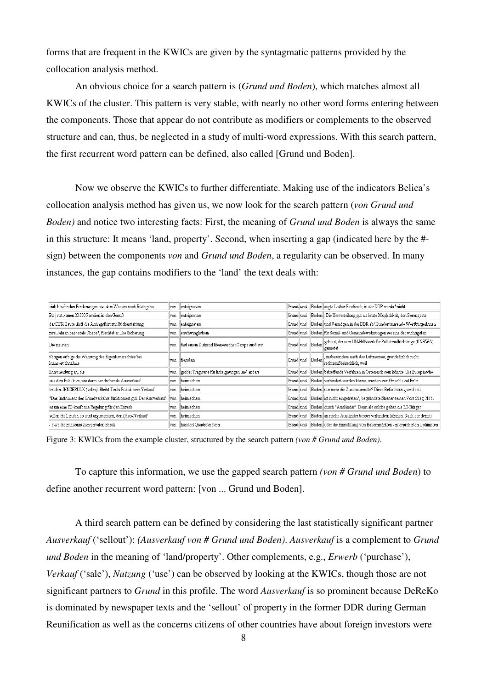forms that are frequent in the KWICs are given by the syntagmatic patterns provided by the collocation analysis method.

An obvious choice for a search pattern is (*Grund und Boden*), which matches almost all KWICs of the cluster. This pattern is very stable, with nearly no other word forms entering between the components. Those that appear do not contribute as modifiers or complements to the observed structure and can, thus, be neglected in a study of multi-word expressions. With this search pattern, the first recurrent word pattern can be defined, also called [Grund und Boden].

Now we observe the KWICs to further differentiate. Making use of the indicators Belica's collocation analysis method has given us, we now look for the search pattern (*von Grund und Boden)* and notice two interesting facts: First, the meaning of *Grund und Boden* is always the same in this structure: It means 'land, property'. Second, when inserting a gap (indicated here by the # sign) between the components *von* and *Grund und Boden*, a regularity can be observed. In many instances, the gap contains modifiers to the 'land' the text deals with:

| sich häufenden Forderungen aus dem Westen nach Rückgabe                 |      | enteignetem                                     |              |                 | Grund und Boden sagte Lothar Pawliczak, in der DDR werde "nicht                      |
|-------------------------------------------------------------------------|------|-------------------------------------------------|--------------|-----------------|--------------------------------------------------------------------------------------|
| Bis jetzt kamen 30.000 Familien in den Genuß                            |      | enteignetem                                     |              |                 | Grund und Boden Die Umverteilung gilt als letzte Möglichkeit, den Sprengsatz         |
| der DDR Heute läuft die Antragsfrist zur Rückerstattung                 |      | enteignetem                                     | Grund und    |                 | Boden und Vermögen in der DDR ab/Hunderttausende WestbürgerInnen                     |
| zwei Jahren das totale Chaos", fürchtet er. Die Sicherung               |      | erschwinglichem                                 | Grund und    |                 | Boden für Sozial- und Gemeindewohnungen sei eine der wichtigsten                     |
| Die meisten                                                             |      | fast einem Dutzend libanesischer Camps sind auf |              | Grund und Boden | gebaut, der vom UN-Hilfswerk für Palästinaflüchtlinge (UNRWA)<br>gemietet            |
| übrigen erfolge die Wahrung des Eigentumsrechtes bei<br>Inanspruchnahme |      | fremdem                                         |              | Grund und Boden | , insbesondere auch des Luftraumes, grundsätzlich nicht<br>rechtsmißbräuchlich, weil |
| Entscheidung an, die                                                    |      | großer Tragweite für Enteignungen und andere    | Grund und    |                 | Boden betreffende Verfahren in Österreich sein könnte. Die Europäische               |
| aus dem Publikum, wie denn der drohende Ausverkauf                      | von. | heimischem                                      | Grund lund - |                 | Boden verhindert werden könne, wurden von Gmachl und Firlei                          |
| binden. INNSBRUCK (schra). Bleibt Tirols Politik beim Verkauf           | von  | heimischem                                      | Grund und    |                 | Boden nur mehr die Zuschauerrolle? Diese Befürchtung wird seit                       |
| "Das Instrument des Grundverkehrs funktioniert gut. Der Ausverkauf      |      | heimischem                                      |              |                 | Grund und Boden ist nicht eingetreten", begründete Streiter seinen Vorschlag, Nöbl   |
| es um eine EG-konforme Regelung für den Erwerb                          |      | heimischem                                      | Grund und    |                 | Boden durch "Ausländer". Denn als solche gelten die EG-Bürger                        |
| sollen die Länder, so wird argumentiert, den (Aus-)Verkauf              |      | heimischen                                      | Grund und    |                 | Boden an reiche Ausländer besser verhindern können. Nach der derzeit                 |
| etwa die Erlaubnis zum privaten Besitz                                  |      | hundert Quadratmetern                           |              |                 | Grund und Boden oder die Einrichtung von Bauernmärkten - interpretierten Optimisten  |

Figure 3: KWICs from the example cluster, structured by the search pattern *(von # Grund und Boden)*.

To capture this information, we use the gapped search pattern *(von # Grund und Boden*) to define another recurrent word pattern: [von ... Grund und Boden].

A third search pattern can be defined by considering the last statistically significant partner *Ausverkauf* ('sellout'): *(Ausverkauf von # Grund und Boden)*. *Ausverkauf* is a complement to *Grund und Boden* in the meaning of 'land/property'. Other complements, e.g., *Erwerb* ('purchase'), *Verkauf* ('sale'), *Nutzung* ('use') can be observed by looking at the KWICs, though those are not significant partners to *Grund* in this profile. The word *Ausverkauf* is so prominent because DeReKo is dominated by newspaper texts and the 'sellout' of property in the former DDR during German Reunification as well as the concerns citizens of other countries have about foreign investors were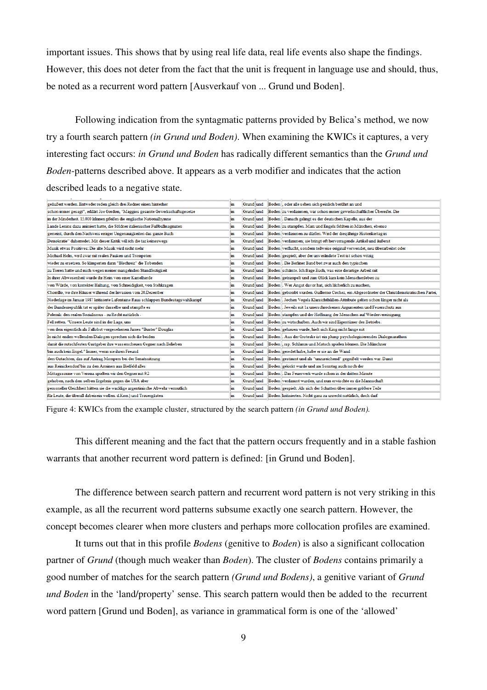important issues. This shows that by using real life data, real life events also shape the findings. However, this does not deter from the fact that the unit is frequent in language use and should, thus, be noted as a recurrent word pattern [Ausverkauf von ... Grund und Boden].

Following indication from the syntagmatic patterns provided by Belica's method, we now try a fourth search pattern *(in Grund und Boden)*. When examining the KWICs it captures, a very interesting fact occurs: *in Grund und Boden* has radically different semantics than the *Grund und Boden*-patterns described above. It appears as a verb modifier and indicates that the action described leads to a negative state.

| geäußert werden. Entweder reden gleich drei Redner einen hinterher                  | in | Grund und |  | Boden oder alle sehen sich peinlich berührt an und                                        |
|-------------------------------------------------------------------------------------|----|-----------|--|-------------------------------------------------------------------------------------------|
| schon immer gesagt", erklärt Joe Gordon, "Maggies gesamte Gewerkschaftsgesetze      | in | Grund und |  | Boden zu verdammen, war schon immer gewerkschaftlicher Übereifer. Die                     |
| in der Minderheit. 15.000 IrInnen pfeifen die englische Nationalhymne               | in | Grund und |  | Boden  . Danach gelingt es der deutschen Kapelle, aus der                                 |
| Lande Lenins dazu animiert hatte, die Söldner italienischer Fußballmagnaten         | in | Grund und |  | Boden zu stampfen. Marx und Engels fehlten in München, ebenso                             |
| gemeint, durch den Nachweis einiger Ungenauigkeiten das ganze Buch                  | in | Grund und |  | Boden verdammen zu dürfen. Wird der diesjährige Historikertag in                          |
| Demokratie" daherredet. Mit dieser Kritik will ich die taz keineswegs               | in | Grund und |  | Boden verdammen; sie bringt oft hervorragende Artikel und äußerst                         |
| Musik etwas Positives: Die alte Musik wird nicht mehr                               | in | Grund und |  | Boden verflucht, sondem teilweise original verwendet, neu überarbeitet oder               |
| Michael Holm, wird zwar mit realen Pauken und Trompeten                             | in | Grund und |  | Boden gespielt, aber der unverändete Text ist schon witzig                                |
| wieder zu ersetzen. So klimperten dann "Blechreiz" die Tobenden                     | in | Grund und |  | Boden  . Die Berliner Band bot zwar auch den typischen                                    |
| zu Tieren hatte und mich wegen meiner mangelnden Standfestigkeit                    | in | Grund und |  | Boden schämte. Ich frage Euch, was eine derartige Arbeit mit                              |
| In ihrer Abwesenheit wurde ihr Heim von einer Kamelherde                            | in | Grund und |  | Boden getrampelt und zum Glück kam kein Menschenleben zu                                  |
| von Würde, von korrekter Haltung, von Schneidigkeit, von Stehkragen                 | in | Grund und |  | Boden  . Wer Angst davor hat, sich lächerlich zu machen,                                  |
| Chorrillo, wo ihre Häuser während der Invasion vom 20.Dezember                      | in | Grund und |  | Boden gebombt wurden. Guillermo Cochez, ein Abgeordneter der Christdemokratischen Partei, |
| Niederlage im Januar 1987 kritisierte Lafontaine Raus schlappen Bundestagswahlkampf | in | Grund und |  | Boden  . Jochen Vogels Klarsichthüllen-Attribute gelten schon länger nicht als            |
| der Bundesrepublik tat er später dasselbe und stampfte es                           | in | Grund und |  | Boden Jeweils mit 1a unerschrockenen Argumenten und Feuerschutz aus                       |
| Polemik: den realen Sozialismus - zu Recht natürlich -                              | in | Grund und |  | Boden stampfen und der Hoffnung der Menschen auf Wiedervereinigung                        |
| Fell retten. "Unsere Leute sind in der Lage, uns                                    | in | Grund und |  | Boden zu wirtschaften. Auch wir sind Eigentümer des Betriebs.                             |
| von dem eigentlich als Fallobst vorgesehenen James "Buster" Douglas                 | in | Grund und |  | Boden gehauen wurde, hielt sich King nicht lange mit                                      |
| In nicht enden wollenden Dialogen sprechen sich die beiden                          | in | Grund und |  | Boden . Aus der Groteske ist ein plump psychologisierendes Dialogmarathon                 |
| damit die rutschfesten Gastgeber ihre wasserscheuen Gegner nach Belieben            | in | Grund und |  | Boden rsp. Schlamm und Matsch spielen können. Die Münchner                                |
| bin auch kein Engel." Immer, wenn sie ihren Freund                                  | in | Grund und |  | Boden geredet habe, habe er sie an die Wand                                               |
| dem Gutachten, das auf Antrag Mompers bei der Senatssitzung                         | in | Grund und |  | Boden gestimmt und als "unzureichend" gegeißelt worden war. Damit                         |
| aus Reinickendorf bis zu den Arminen aus Bielfeld alles                             | in | Grund und |  | Boden gekickt wurde und am Sonntag auch noch der                                          |
| Mittagssonne von Verona spielten wir den Gegner mit 9:2                             | in | Grund und |  | Boden  . Das Feuerwerk wurde schon in der dritten Minute                                  |
| gehoben, nach dem selben Ergebnis gegen die USA aber                                | in | Grund und |  | Boden verdammt wurden, und nun erwischte es die Mannschaft                                |
| personeller Gleichheit hätten sie die wacklige argentinische Abwehr vermutlich      | in | Grund und |  | Boden gespielt. Als sich der Schatten über immer größere Teile                            |
| für Leute, die überall dabeisein wollen. d.Korr.) und Trauergästen                  | in |           |  | Grund und Boden kritisierten. Nicht ganz zu unrecht natürlich, doch darf                  |
|                                                                                     |    |           |  |                                                                                           |

Figure 4: KWICs from the example cluster, structured by the search pattern *(in Grund und Boden).*

This different meaning and the fact that the pattern occurs frequently and in a stable fashion warrants that another recurrent word pattern is defined: [in Grund und Boden].

The difference between search pattern and recurrent word pattern is not very striking in this example, as all the recurrent word patterns subsume exactly one search pattern. However, the concept becomes clearer when more clusters and perhaps more collocation profiles are examined.

It turns out that in this profile *Bodens* (genitive to *Boden*) is also a significant collocation partner of *Grund* (though much weaker than *Boden*). The cluster of *Bodens* contains primarily a good number of matches for the search pattern *(Grund und Bodens)*, a genitive variant of *Grund und Boden* in the 'land/property' sense. This search pattern would then be added to the recurrent word pattern [Grund und Boden], as variance in grammatical form is one of the 'allowed'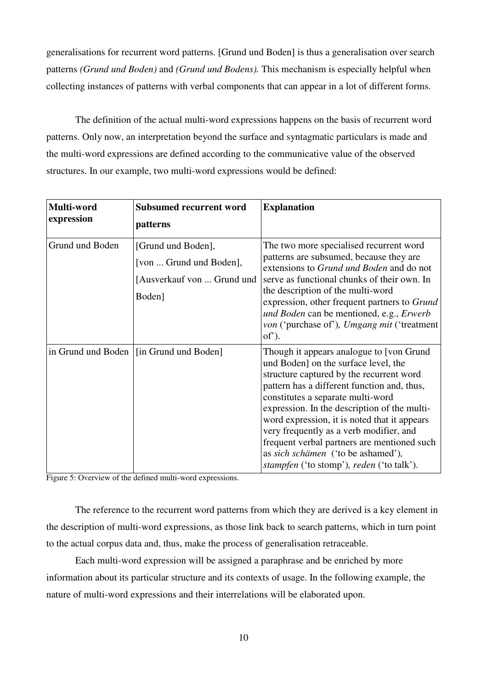generalisations for recurrent word patterns. [Grund und Boden] is thus a generalisation over search patterns *(Grund und Boden)* and *(Grund und Bodens).* This mechanism is especially helpful when collecting instances of patterns with verbal components that can appear in a lot of different forms.

The definition of the actual multi-word expressions happens on the basis of recurrent word patterns. Only now, an interpretation beyond the surface and syntagmatic particulars is made and the multi-word expressions are defined according to the communicative value of the observed structures. In our example, two multi-word expressions would be defined:

| Multi-word<br>expression | <b>Subsumed recurrent word</b><br>patterns                                            | <b>Explanation</b>                                                                                                                                                                                                                                                                                                                                                                                                                                                                                           |
|--------------------------|---------------------------------------------------------------------------------------|--------------------------------------------------------------------------------------------------------------------------------------------------------------------------------------------------------------------------------------------------------------------------------------------------------------------------------------------------------------------------------------------------------------------------------------------------------------------------------------------------------------|
| Grund und Boden          | [Grund und Boden],<br>[von  Grund und Boden],<br>[Ausverkauf von  Grund und<br>Boden] | The two more specialised recurrent word<br>patterns are subsumed, because they are<br>extensions to Grund und Boden and do not<br>serve as functional chunks of their own. In<br>the description of the multi-word<br>expression, other frequent partners to Grund<br>und Boden can be mentioned, e.g., Erwerb<br><i>von</i> ('purchase of'), <i>Umgang mit</i> ('treatment<br>$of$ ).                                                                                                                       |
| in Grund und Boden       | [in Grund und Boden]                                                                  | Though it appears analogue to [von Grund]<br>und Boden] on the surface level, the<br>structure captured by the recurrent word<br>pattern has a different function and, thus,<br>constitutes a separate multi-word<br>expression. In the description of the multi-<br>word expression, it is noted that it appears<br>very frequently as a verb modifier, and<br>frequent verbal partners are mentioned such<br>as sich schämen ('to be ashamed'),<br><i>stampfen</i> ('to stomp'), <i>reden</i> ('to talk'). |

Figure 5: Overview of the defined multi-word expressions.

The reference to the recurrent word patterns from which they are derived is a key element in the description of multi-word expressions, as those link back to search patterns, which in turn point to the actual corpus data and, thus, make the process of generalisation retraceable.

Each multi-word expression will be assigned a paraphrase and be enriched by more information about its particular structure and its contexts of usage. In the following example, the nature of multi-word expressions and their interrelations will be elaborated upon.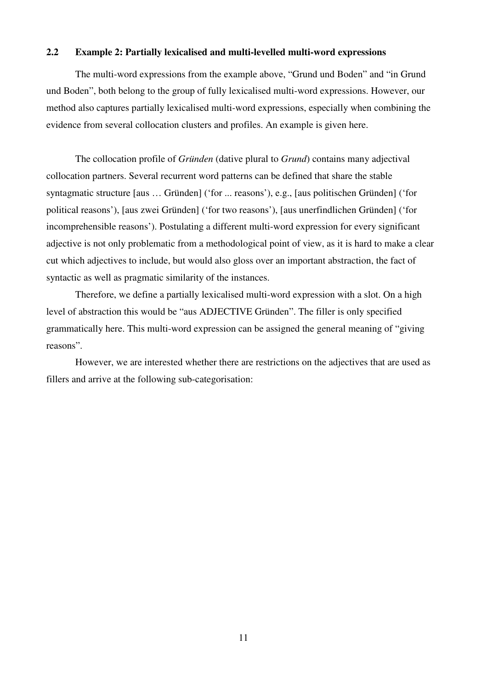# **2.2 Example 2: Partially lexicalised and multi-levelled multi-word expressions**

The multi-word expressions from the example above, "Grund und Boden" and "in Grund und Boden", both belong to the group of fully lexicalised multi-word expressions. However, our method also captures partially lexicalised multi-word expressions, especially when combining the evidence from several collocation clusters and profiles. An example is given here.

The collocation profile of *Gründen* (dative plural to *Grund*) contains many adjectival collocation partners. Several recurrent word patterns can be defined that share the stable syntagmatic structure [aus … Gründen] ('for ... reasons'), e.g., [aus politischen Gründen] ('for political reasons'), [aus zwei Gründen] ('for two reasons'), [aus unerfindlichen Gründen] ('for incomprehensible reasons'). Postulating a different multi-word expression for every significant adjective is not only problematic from a methodological point of view, as it is hard to make a clear cut which adjectives to include, but would also gloss over an important abstraction, the fact of syntactic as well as pragmatic similarity of the instances.

Therefore, we define a partially lexicalised multi-word expression with a slot. On a high level of abstraction this would be "aus ADJECTIVE Gründen". The filler is only specified grammatically here. This multi-word expression can be assigned the general meaning of "giving reasons".

However, we are interested whether there are restrictions on the adjectives that are used as fillers and arrive at the following sub-categorisation: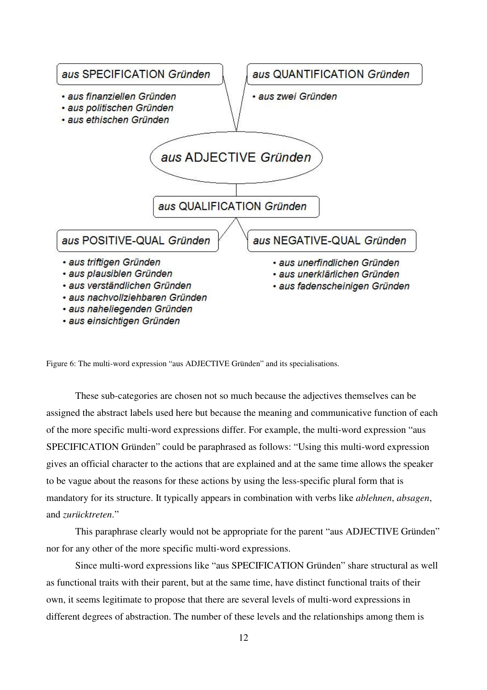

Figure 6: The multi-word expression "aus ADJECTIVE Gründen" and its specialisations.

These sub-categories are chosen not so much because the adjectives themselves can be assigned the abstract labels used here but because the meaning and communicative function of each of the more specific multi-word expressions differ. For example, the multi-word expression "aus SPECIFICATION Gründen" could be paraphrased as follows: "Using this multi-word expression gives an official character to the actions that are explained and at the same time allows the speaker to be vague about the reasons for these actions by using the less-specific plural form that is mandatory for its structure. It typically appears in combination with verbs like *ablehnen*, *absagen*, and *zurücktreten*."

This paraphrase clearly would not be appropriate for the parent "aus ADJECTIVE Gründen" nor for any other of the more specific multi-word expressions.

Since multi-word expressions like "aus SPECIFICATION Gründen" share structural as well as functional traits with their parent, but at the same time, have distinct functional traits of their own, it seems legitimate to propose that there are several levels of multi-word expressions in different degrees of abstraction. The number of these levels and the relationships among them is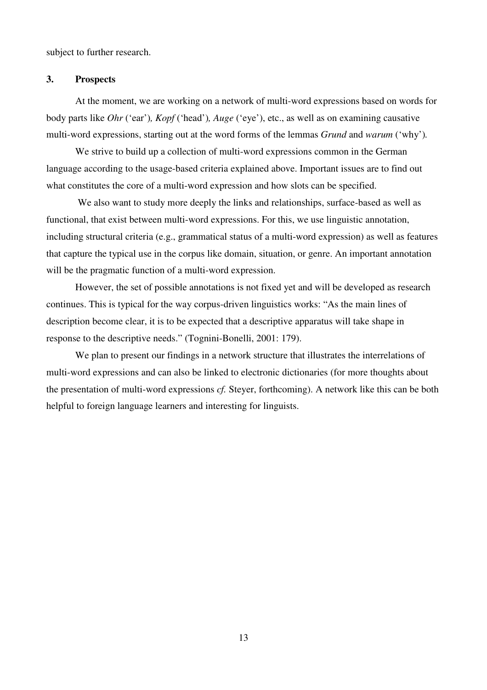subject to further research.

## **3. Prospects**

At the moment, we are working on a network of multi-word expressions based on words for body parts like *Ohr* ('ear')*, Kopf* ('head')*, Auge* ('eye'), etc., as well as on examining causative multi-word expressions, starting out at the word forms of the lemmas *Grund* and *warum* ('why')*.* 

We strive to build up a collection of multi-word expressions common in the German language according to the usage-based criteria explained above. Important issues are to find out what constitutes the core of a multi-word expression and how slots can be specified.

 We also want to study more deeply the links and relationships, surface-based as well as functional, that exist between multi-word expressions. For this, we use linguistic annotation, including structural criteria (e.g., grammatical status of a multi-word expression) as well as features that capture the typical use in the corpus like domain, situation, or genre. An important annotation will be the pragmatic function of a multi-word expression.

However, the set of possible annotations is not fixed yet and will be developed as research continues. This is typical for the way corpus-driven linguistics works: "As the main lines of description become clear, it is to be expected that a descriptive apparatus will take shape in response to the descriptive needs." (Tognini-Bonelli, 2001: 179).

We plan to present our findings in a network structure that illustrates the interrelations of multi-word expressions and can also be linked to electronic dictionaries (for more thoughts about the presentation of multi-word expressions *cf.* Steyer, forthcoming). A network like this can be both helpful to foreign language learners and interesting for linguists.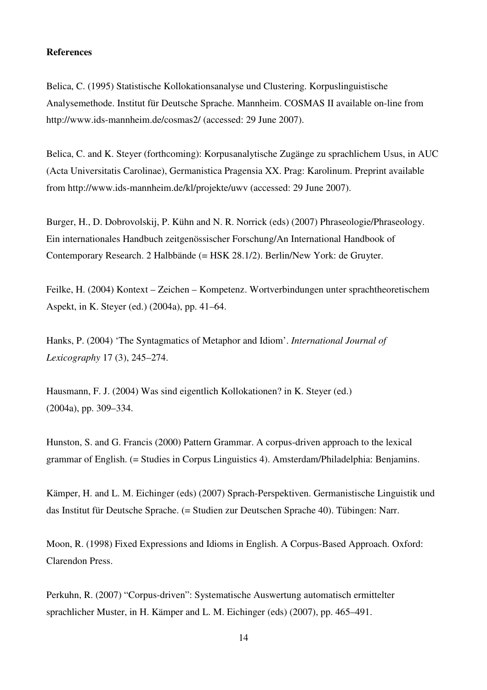#### **References**

Belica, C. (1995) Statistische Kollokationsanalyse und Clustering. Korpuslinguistische Analysemethode. Institut für Deutsche Sprache. Mannheim. COSMAS II available on-line from http://www.ids-mannheim.de/cosmas2/ (accessed: 29 June 2007).

Belica, C. and K. Steyer (forthcoming): Korpusanalytische Zugänge zu sprachlichem Usus, in AUC (Acta Universitatis Carolinae), Germanistica Pragensia XX. Prag: Karolinum. Preprint available from http://www.ids-mannheim.de/kl/projekte/uwv (accessed: 29 June 2007).

Burger, H., D. Dobrovolskij, P. Kühn and N. R. Norrick (eds) (2007) Phraseologie/Phraseology. Ein internationales Handbuch zeitgenössischer Forschung/An International Handbook of Contemporary Research. 2 Halbbände (= HSK 28.1/2). Berlin/New York: de Gruyter.

Feilke, H. (2004) Kontext – Zeichen – Kompetenz. Wortverbindungen unter sprachtheoretischem Aspekt, in K. Steyer (ed.) (2004a), pp. 41–64.

Hanks, P. (2004) 'The Syntagmatics of Metaphor and Idiom'. *International Journal of Lexicography* 17 (3), 245–274.

Hausmann, F. J. (2004) Was sind eigentlich Kollokationen? in K. Steyer (ed.) (2004a), pp. 309–334.

Hunston, S. and G. Francis (2000) Pattern Grammar. A corpus-driven approach to the lexical grammar of English. (= Studies in Corpus Linguistics 4). Amsterdam/Philadelphia: Benjamins.

Kämper, H. and L. M. Eichinger (eds) (2007) Sprach-Perspektiven. Germanistische Linguistik und das Institut für Deutsche Sprache. (= Studien zur Deutschen Sprache 40). Tübingen: Narr.

Moon, R. (1998) Fixed Expressions and Idioms in English. A Corpus-Based Approach. Oxford: Clarendon Press.

Perkuhn, R. (2007) "Corpus-driven": Systematische Auswertung automatisch ermittelter sprachlicher Muster, in H. Kämper and L. M. Eichinger (eds) (2007), pp. 465–491.